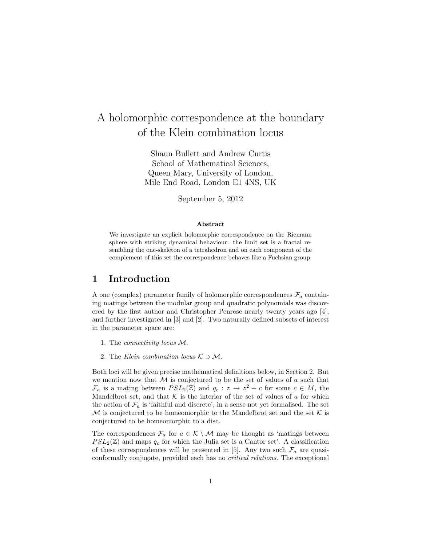# A holomorphic correspondence at the boundary of the Klein combination locus

Shaun Bullett and Andrew Curtis School of Mathematical Sciences, Queen Mary, University of London, Mile End Road, London E1 4NS, UK

September 5, 2012

#### Abstract

We investigate an explicit holomorphic correspondence on the Riemann sphere with striking dynamical behaviour: the limit set is a fractal resembling the one-skeleton of a tetrahedron and on each component of the complement of this set the correspondence behaves like a Fuchsian group.

### 1 Introduction

A one (complex) parameter family of holomorphic correspondences  $\mathcal{F}_a$  containing matings between the modular group and quadratic polynomials was discovered by the first author and Christopher Penrose nearly twenty years ago  $[4]$ , and further investigated in [3] and [2]. Two naturally defined subsets of interest in the parameter space are:

- 1. The connectivity locus M.
- 2. The Klein combination locus  $K \supset M$ .

Both loci will be given precise mathematical definitions below, in Section 2. But we mention now that  $M$  is conjectured to be the set of values of a such that  $\mathcal{F}_a$  is a mating between  $PSL_2(\mathbb{Z})$  and  $q_c: z \to z^2 + c$  for some  $c \in M$ , the Mandelbrot set, and that  $K$  is the interior of the set of values of a for which the action of  $\mathcal{F}_a$  is 'faithful and discrete', in a sense not yet formalised. The set M is conjectured to be homeomorphic to the Mandelbrot set and the set  $K$  is conjectured to be homeomorphic to a disc.

The correspondences  $\mathcal{F}_a$  for  $a \in \mathcal{K} \setminus \mathcal{M}$  may be thought as 'matings between  $PSL_2(\mathbb{Z})$  and maps  $q_c$  for which the Julia set is a Cantor set'. A classification of these correspondences will be presented in [5]. Any two such  $\mathcal{F}_a$  are quasiconformally conjugate, provided each has no critical relations. The exceptional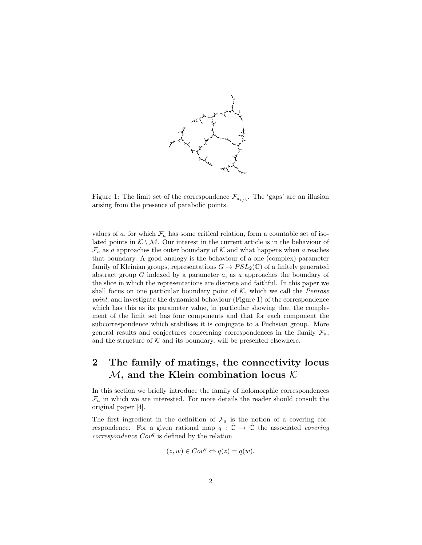

Figure 1: The limit set of the correspondence  $\mathcal{F}_{a_{1/3}}$ . The 'gaps' are an illusion arising from the presence of parabolic points.

values of a, for which  $\mathcal{F}_a$  has some critical relation, form a countable set of isolated points in  $K \setminus M$ . Our interest in the current article is in the behaviour of  $\mathcal{F}_a$  as a approaches the outer boundary of K and what happens when a reaches that boundary. A good analogy is the behaviour of a one (complex) parameter family of Kleinian groups, representations  $G \to PSL_2(\mathbb{C})$  of a finitely generated abstract group  $G$  indexed by a parameter  $a$ , as  $a$  approaches the boundary of the slice in which the representations are discrete and faithful. In this paper we shall focus on one particular boundary point of  $K$ , which we call the *Penrose* point, and investigate the dynamical behaviour (Figure 1) of the correspondence which has this as its parameter value, in particular showing that the complement of the limit set has four components and that for each component the subcorrespondence which stabilises it is conjugate to a Fuchsian group. More general results and conjectures concerning correspondences in the family  $\mathcal{F}_a$ , and the structure of  $K$  and its boundary, will be presented elsewhere.

## 2 The family of matings, the connectivity locus  $M$ , and the Klein combination locus  $K$

In this section we briefly introduce the family of holomorphic correspondences  $\mathcal{F}_a$  in which we are interested. For more details the reader should consult the original paper [4].

The first ingredient in the definition of  $\mathcal{F}_a$  is the notion of a covering correspondence. For a given rational map  $q : \hat{\mathbb{C}} \to \hat{\mathbb{C}}$  the associated *covering*  $correspondence Cov<sup>q</sup>$  is defined by the relation

$$
(z, w) \in Cov^q \Leftrightarrow q(z) = q(w).
$$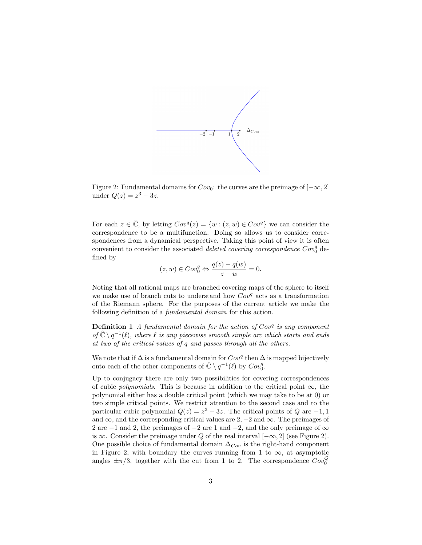

Figure 2: Fundamental domains for  $Cov_0$ : the curves are the preimage of  $[-\infty, 2]$ under  $Q(z) = z^3 - 3z$ .

For each  $z \in \mathbb{C}$ , by letting  $Cov^{q}(z) = \{w : (z, w) \in Cov^{q}\}\$ we can consider the correspondence to be a multifunction. Doing so allows us to consider correspondences from a dynamical perspective. Taking this point of view it is often convenient to consider the associated *deleted covering correspondence*  $Cov_0^q$  defined by

$$
(z, w) \in Cov_0^q \Leftrightarrow \frac{q(z) - q(w)}{z - w} = 0.
$$

Noting that all rational maps are branched covering maps of the sphere to itself we make use of branch cuts to understand how  $Cov<sup>q</sup>$  acts as a transformation of the Riemann sphere. For the purposes of the current article we make the following definition of a *fundamental domain* for this action.

**Definition 1** A fundamental domain for the action of  $Cov<sup>q</sup>$  is any component of  $\hat{\mathbb{C}} \setminus q^{-1}(\ell)$ , where  $\ell$  is any piecewise smooth simple arc which starts and ends at two of the critical values of q and passes through all the others.

We note that if  $\Delta$  is a fundamental domain for  $Cov<sup>q</sup>$  then  $\Delta$  is mapped bijectively onto each of the other components of  $\hat{\mathbb{C}} \setminus q^{-1}(\ell)$  by  $Cov_0^q$ .

Up to conjugacy there are only two possibilities for covering correspondences of cubic polynomials. This is because in addition to the critical point  $\infty$ , the polynomial either has a double critical point (which we may take to be at 0) or two simple critical points. We restrict attention to the second case and to the particular cubic polynomial  $Q(z) = z^3 - 3z$ . The critical points of Q are -1,1 and  $\infty$ , and the corresponding critical values are 2, –2 and  $\infty$ . The preimages of 2 are  $-1$  and 2, the preimages of  $-2$  are 1 and  $-2$ , and the only preimage of  $\infty$ is ∞. Consider the preimage under Q of the real interval  $[-\infty, 2]$  (see Figure 2). One possible choice of fundamental domain  $\Delta_{Cov}$  is the right-hand component in Figure 2, with boundary the curves running from 1 to  $\infty$ , at asymptotic angles  $\pm \pi/3$ , together with the cut from 1 to 2. The correspondence  $Cov_0^Q$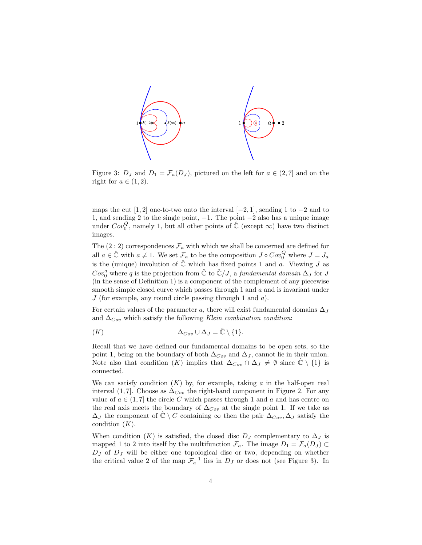

Figure 3:  $D_J$  and  $D_1 = \mathcal{F}_a(D_J)$ , pictured on the left for  $a \in (2,7]$  and on the right for  $a \in (1, 2)$ .

maps the cut [1, 2] one-to-two onto the interval  $[-2, 1]$ , sending 1 to  $-2$  and to 1, and sending 2 to the single point, −1. The point −2 also has a unique image under  $Cov_0^Q$ , namely 1, but all other points of  $\hat{\mathbb{C}}$  (except  $\infty$ ) have two distinct images.

The  $(2:2)$  correspondences  $\mathcal{F}_a$  with which we shall be concerned are defined for all  $a \in \hat{\mathbb{C}}$  with  $a \neq 1$ . We set  $\mathcal{F}_a$  to be the composition  $J \circ Cov_0^Q$  where  $J = J_a$ is the (unique) involution of  $\hat{\mathbb{C}}$  which has fixed points 1 and a. Viewing J as  $Cov_0^q$  where q is the projection from  $\hat{\mathbb{C}}$  to  $\hat{\mathbb{C}}/J$ , a fundamental domain  $\Delta_J$  for J (in the sense of Definition 1) is a component of the complement of any piecewise smooth simple closed curve which passes through 1 and a and is invariant under  $J$  (for example, any round circle passing through 1 and  $a$ ).

For certain values of the parameter a, there will exist fundamental domains  $\Delta_J$ and  $\Delta_{Cov}$  which satisfy the following Klein combination condition:

$$
\Delta_{Cov} \cup \Delta_J = \hat{\mathbb{C}} \setminus \{1\}.
$$

Recall that we have defined our fundamental domains to be open sets, so the point 1, being on the boundary of both  $\Delta_{Cov}$  and  $\Delta_J$ , cannot lie in their union. Note also that condition  $(K)$  implies that  $\Delta_{Cov} \cap \Delta_J \neq \emptyset$  since  $\hat{\mathbb{C}} \setminus \{1\}$  is connected.

We can satisfy condition  $(K)$  by, for example, taking a in the half-open real interval (1,7). Choose as  $\Delta_{Cov}$  the right-hand component in Figure 2. For any value of  $a \in (1, 7]$  the circle C which passes through 1 and a and has centre on the real axis meets the boundary of  $\Delta_{Cov}$  at the single point 1. If we take as  $\Delta_J$  the component of  $\mathbb{C} \setminus C$  containing  $\infty$  then the pair  $\Delta_{Cov}$ ,  $\Delta_J$  satisfy the condition  $(K)$ .

When condition  $(K)$  is satisfied, the closed disc  $D_J$  complementary to  $\Delta_J$  is mapped 1 to 2 into itself by the multifunction  $\mathcal{F}_a$ . The image  $D_1 = \mathcal{F}_a(D_J) \subset$  $D_J$  of  $D_J$  will be either one topological disc or two, depending on whether the critical value 2 of the map  $\mathcal{F}_a^{-1}$  lies in  $D_J$  or does not (see Figure 3). In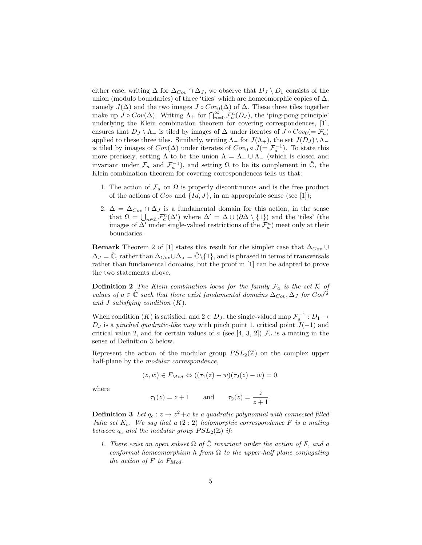either case, writing  $\Delta$  for  $\Delta_{Cov} \cap \Delta_J$ , we observe that  $D_J \setminus D_1$  consists of the union (modulo boundaries) of three 'tiles' which are homeomorphic copies of  $\Delta$ , namely  $J(\Delta)$  and the two images  $J \circ Cov_0(\Delta)$  of  $\Delta$ . These three tiles together make up  $J \circ Cov(\Delta)$ . Writing  $\Lambda_+$  for  $\bigcap_{n=0}^{\infty} \mathcal{F}_a^n(D_J)$ , the 'ping-pong principle' underlying the Klein combination theorem for covering correspondences, [1], ensures that  $D_J \setminus \Lambda_+$  is tiled by images of  $\Delta$  under iterates of  $J \circ Cov_0(=\mathcal{F}_a)$ applied to these three tiles. Similarly, writing  $\Lambda$  for  $J(\Lambda_+)$ , the set  $J(D_J)\setminus\Lambda_$ is tiled by images of  $Cov(\Delta)$  under iterates of  $Cov_0 \circ J (= \mathcal{F}_a^{-1})$ . To state this more precisely, setting  $\Lambda$  to be the union  $\Lambda = \Lambda_+ \cup \Lambda_-$  (which is closed and invariant under  $\mathcal{F}_a$  and  $\mathcal{F}_a^{-1}$ ), and setting  $\Omega$  to be its complement in  $\hat{\mathbb{C}}$ , the Klein combination theorem for covering correspondences tells us that:

- 1. The action of  $\mathcal{F}_a$  on  $\Omega$  is properly discontinuous and is the free product of the actions of Cov and  $\{Id, J\}$ , in an appropriate sense (see [1]);
- 2.  $\Delta = \Delta_{Cov} \cap \Delta_J$  is a fundamental domain for this action, in the sense that  $\Omega = \bigcup_{n \in \mathbb{Z}} \mathcal{F}_a^n(\Delta')$  where  $\Delta' = \Delta \cup (\partial \Delta \setminus \{1\})$  and the 'tiles' (the images of  $\Delta'$  under single-valued restrictions of the  $\mathcal{F}_a^n$ ) meet only at their boundaries.

**Remark** Theorem 2 of [1] states this result for the simpler case that  $\Delta_{Cov}$  ∪  $\Delta_J = \mathbb{C}$ , rather than  $\Delta_{Cov} \cup \Delta_J = \mathbb{C} \setminus \{1\}$ , and is phrased in terms of transversals rather than fundamental domains, but the proof in [1] can be adapted to prove the two statements above.

**Definition 2** The Klein combination locus for the family  $\mathcal{F}_a$  is the set K of values of  $a \in \hat{\mathbb{C}}$  such that there exist fundamental domains  $\Delta_{Cov}$ ,  $\Delta_J$  for  $Cov^Q$ and  $J$  satisfying condition  $(K)$ .

When condition  $(K)$  is satisfied, and  $2 \in D_J$ , the single-valued map  $\mathcal{F}_a^{-1}: D_1 \to$  $D_J$  is a pinched quadratic-like map with pinch point 1, critical point  $J(-1)$  and critical value 2, and for certain values of a (see [4, 3, 2])  $\mathcal{F}_a$  is a mating in the sense of Definition 3 below.

Represent the action of the modular group  $PSL_2(\mathbb{Z})$  on the complex upper half-plane by the *modular correspondence*,

$$
(z, w) \in F_{Mod} \Leftrightarrow ((\tau_1(z) - w)(\tau_2(z) - w) = 0.
$$

where

$$
\tau_1(z) = z + 1
$$
 and  $\tau_2(z) = \frac{z}{z + 1}$ .

**Definition 3** Let  $q_c: z \to z^2+c$  be a quadratic polynomial with connected filled Julia set  $K_c$ . We say that a  $(2:2)$  holomorphic correspondence F is a mating between  $q_c$  and the modular group  $PSL_2(\mathbb{Z})$  if:

1. There exist an open subset  $\Omega$  of  $\hat{\mathbb{C}}$  invariant under the action of F, and a conformal homeomorphism h from  $\Omega$  to the upper-half plane conjugating the action of  $F$  to  $F_{Mod}$ .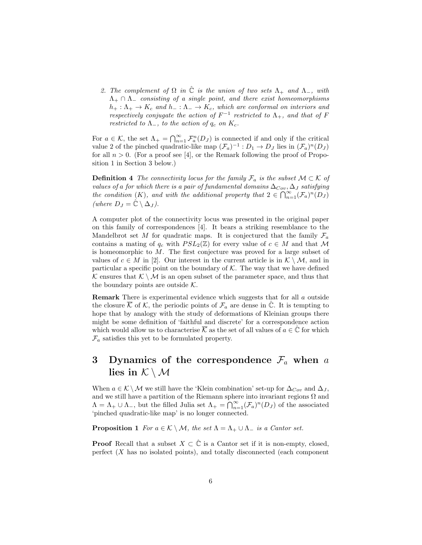2. The complement of  $\Omega$  in  $\hat{\mathbb{C}}$  is the union of two sets  $\Lambda_+$  and  $\Lambda_-$ , with  $\Lambda_+ \cap \Lambda_-$  consisting of a single point, and there exist homeomorphisms  $h_+ : \Lambda_+ \to K_c$  and  $h_- : \Lambda_- \to K_c$ , which are conformal on interiors and respectively conjugate the action of  $F^{-1}$  restricted to  $\Lambda_{+}$ , and that of F restricted to  $\Lambda_-$ , to the action of  $q_c$  on  $K_c$ .

For  $a \in \mathcal{K}$ , the set  $\Lambda_+ = \bigcap_{n=1}^{\infty} \mathcal{F}_a^n(D_J)$  is connected if and only if the critical value 2 of the pinched quadratic-like map  $(\mathcal{F}_a)^{-1} : D_1 \to D_J$  lies in  $(\mathcal{F}_a)^n(D_J)$ for all  $n > 0$ . (For a proof see [4], or the Remark following the proof of Proposition 1 in Section 3 below.)

**Definition 4** The connectivity locus for the family  $\mathcal{F}_a$  is the subset  $\mathcal{M} \subset \mathcal{K}$  of values of a for which there is a pair of fundamental domains  $\Delta_{Cov}$ ,  $\Delta_J$  satisfying the condition  $(K)$ , and with the additional property that  $2 \in \bigcap_{n=1}^{\infty} (\mathcal{F}_a)^n (D_J)$ (where  $D_J = \hat{\mathbb{C}} \setminus \Delta_J$ ).

A computer plot of the connectivity locus was presented in the original paper on this family of correspondences [4]. It bears a striking resemblance to the Mandelbrot set M for quadratic maps. It is conjectured that the family  $\mathcal{F}_a$ contains a mating of  $q_c$  with  $PSL_2(\mathbb{Z})$  for every value of  $c \in M$  and that M is homeomorphic to  $M$ . The first conjecture was proved for a large subset of values of  $c \in M$  in [2]. Our interest in the current article is in  $\mathcal{K} \setminus \mathcal{M}$ , and in particular a specific point on the boundary of  $K$ . The way that we have defined K ensures that  $K \setminus M$  is an open subset of the parameter space, and thus that the boundary points are outside  $K$ .

Remark There is experimental evidence which suggests that for all a outside the closure  $\overline{\mathcal{K}}$  of  $\mathcal{K}$ , the periodic points of  $\mathcal{F}_a$  are dense in  $\overline{\mathbb{C}}$ . It is tempting to hope that by analogy with the study of deformations of Kleinian groups there might be some definition of 'faithful and discrete' for a correspondence action which would allow us to characterise  $\overline{\mathcal{K}}$  as the set of all values of  $a \in \mathbb{C}$  for which  $\mathcal{F}_a$  satisfies this yet to be formulated property.

## 3 Dynamics of the correspondence  $\mathcal{F}_a$  when a lies in  $K \setminus M$

When  $a \in \mathcal{K} \setminus \mathcal{M}$  we still have the 'Klein combination' set-up for  $\Delta_{Cov}$  and  $\Delta_J$ , and we still have a partition of the Riemann sphere into invariant regions  $\Omega$  and  $\Lambda = \Lambda_+ \cup \Lambda_-,$  but the filled Julia set  $\Lambda_+ = \bigcap_{n=1}^{\infty} (\mathcal{F}_a)^n(D_J)$  of the associated 'pinched quadratic-like map' is no longer connected.

**Proposition 1** For  $a \in \mathcal{K} \setminus \mathcal{M}$ , the set  $\Lambda = \Lambda_+ \cup \Lambda_-$  is a Cantor set.

**Proof** Recall that a subset  $X \subset \hat{\mathbb{C}}$  is a Cantor set if it is non-empty, closed, perfect  $(X$  has no isolated points), and totally disconnected (each component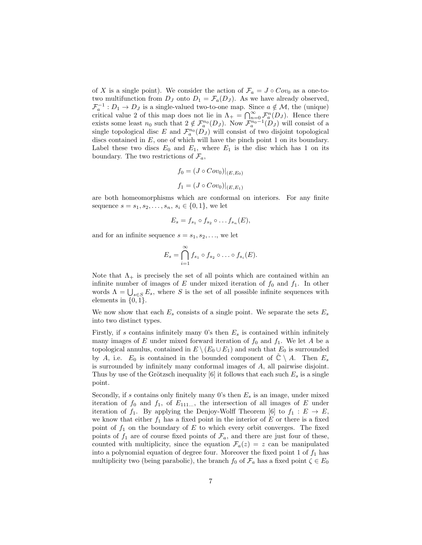of X is a single point). We consider the action of  $\mathcal{F}_a = J \circ Cov_0$  as a one-totwo multifunction from  $D_J$  onto  $D_1 = \mathcal{F}_a(D_J)$ . As we have already observed,  $\mathcal{F}_a^{-1}: D_1 \to D_J$  is a single-valued two-to-one map. Since  $a \notin \mathcal{M}$ , the (unique) critical value 2 of this map does not lie in  $\Lambda_{+} = \bigcap_{n=0}^{\infty} \mathcal{F}_{a}^{n}(D_{J})$ . Hence there exists some least  $n_0$  such that  $2 \notin \mathcal{F}_a^{n_0}(D_J)$ . Now  $\mathcal{F}_a^{n_0-1}(D_J)$  will consist of a single topological disc E and  $\mathcal{F}_a^{n_0}(D_J)$  will consist of two disjoint topological discs contained in  $E$ , one of which will have the pinch point 1 on its boundary. Label these two discs  $E_0$  and  $E_1$ , where  $E_1$  is the disc which has 1 on its boundary. The two restrictions of  $\mathcal{F}_a$ ,

$$
f_0 = (J \circ Cov_0)|_{(E,E_0)}
$$
  

$$
f_1 = (J \circ Cov_0)|_{(E,E_1)}
$$

are both homeomorphisms which are conformal on interiors. For any finite sequence  $s = s_1, s_2, \ldots, s_n, s_i \in \{0, 1\}$ , we let

$$
E_s = f_{s_1} \circ f_{s_2} \circ \dots f_{s_n}(E),
$$

and for an infinite sequence  $s = s_1, s_2, \ldots$ , we let

$$
E_s = \bigcap_{i=1}^{\infty} f_{s_1} \circ f_{s_2} \circ \ldots \circ f_{s_i}(E).
$$

Note that  $\Lambda_{+}$  is precisely the set of all points which are contained within an infinite number of images of E under mixed iteration of  $f_0$  and  $f_1$ . In other words  $\Lambda = \bigcup_{s \in S} E_s$ , where S is the set of all possible infinite sequences with elements in  $\{0, 1\}.$ 

We now show that each  $E_s$  consists of a single point. We separate the sets  $E_s$ into two distinct types.

Firstly, if s contains infinitely many 0's then  $E_s$  is contained within infinitely many images of E under mixed forward iteration of  $f_0$  and  $f_1$ . We let A be a topological annulus, contained in  $E \setminus (E_0 \cup E_1)$  and such that  $E_0$  is surrounded by A, i.e.  $E_0$  is contained in the bounded component of  $\mathbb{C} \setminus A$ . Then  $E_s$ is surrounded by infinitely many conformal images of A, all pairwise disjoint. Thus by use of the Grötzsch inequality [6] it follows that each such  $E_s$  is a single point.

Secondly, if s contains only finitely many 0's then  $E_s$  is an image, under mixed iteration of  $f_0$  and  $f_1$ , of  $E_{111...}$ , the intersection of all images of E under iteration of  $f_1$ . By applying the Denjoy-Wolff Theorem [6] to  $f_1 : E \to E$ , we know that either  $f_1$  has a fixed point in the interior of E or there is a fixed point of  $f_1$  on the boundary of  $E$  to which every orbit converges. The fixed points of  $f_1$  are of course fixed points of  $\mathcal{F}_a$ , and there are just four of these, counted with multiplicity, since the equation  $\mathcal{F}_a(z) = z$  can be manipulated into a polynomial equation of degree four. Moreover the fixed point 1 of  $f_1$  has multiplicity two (being parabolic), the branch  $f_0$  of  $\mathcal{F}_a$  has a fixed point  $\zeta \in E_0$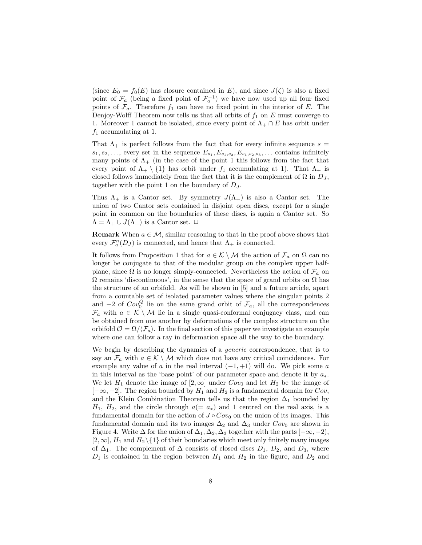(since  $E_0 = f_0(E)$  has closure contained in E), and since  $J(\zeta)$  is also a fixed point of  $\mathcal{F}_a$  (being a fixed point of  $\mathcal{F}_a^{-1}$ ) we have now used up all four fixed points of  $\mathcal{F}_a$ . Therefore  $f_1$  can have no fixed point in the interior of E. The Denjoy-Wolff Theorem now tells us that all orbits of  $f_1$  on  $E$  must converge to 1. Moreover 1 cannot be isolated, since every point of  $\Lambda_+ \cap E$  has orbit under  $f_1$  accumulating at 1.

That  $\Lambda_{+}$  is perfect follows from the fact that for every infinite sequence  $s =$  $s_1, s_2, \ldots$ , every set in the sequence  $E_{s_1}, E_{s_1, s_2}, E_{s_1, s_2, s_3}, \ldots$  contains infinitely many points of  $\Lambda_{+}$  (in the case of the point 1 this follows from the fact that every point of  $\Lambda_+ \setminus \{1\}$  has orbit under  $f_1$  accumulating at 1). That  $\Lambda_+$  is closed follows immediately from the fact that it is the complement of  $\Omega$  in  $D_J$ , together with the point 1 on the boundary of  $D_J$ .

Thus  $\Lambda_{+}$  is a Cantor set. By symmetry  $J(\Lambda_{+})$  is also a Cantor set. The union of two Cantor sets contained in disjoint open discs, except for a single point in common on the boundaries of these discs, is again a Cantor set. So  $\Lambda = \Lambda_+ \cup J(\Lambda_+)$  is a Cantor set.  $\Box$ 

**Remark** When  $a \in \mathcal{M}$ , similar reasoning to that in the proof above shows that every  $\mathcal{F}_a^n(D_J)$  is connected, and hence that  $\Lambda_+$  is connected.

It follows from Proposition 1 that for  $a \in \mathcal{K} \setminus \mathcal{M}$  the action of  $\mathcal{F}_a$  on  $\Omega$  can no longer be conjugate to that of the modular group on the complex upper halfplane, since  $\Omega$  is no longer simply-connected. Nevertheless the action of  $\mathcal{F}_a$  on  $\Omega$  remains 'discontinuous', in the sense that the space of grand orbits on  $\Omega$  has the structure of an orbifold. As will be shown in [5] and a future article, apart from a countable set of isolated parameter values where the singular points 2 and  $-2$  of  $Cov_0^Q$  lie on the same grand orbit of  $\mathcal{F}_a$ , all the correspondences  $\mathcal{F}_a$  with  $a \in \mathcal{K} \setminus \mathcal{M}$  lie in a single quasi-conformal conjugacy class, and can be obtained from one another by deformations of the complex structure on the orbifold  $\mathcal{O} = \Omega / \langle \mathcal{F}_a \rangle$ . In the final section of this paper we investigate an example where one can follow a ray in deformation space all the way to the boundary.

We begin by describing the dynamics of a *generic* correspondence, that is to say an  $\mathcal{F}_a$  with  $a \in \mathcal{K} \setminus \mathcal{M}$  which does not have any critical coincidences. For example any value of a in the real interval  $(-1, +1)$  will do. We pick some a in this interval as the 'base point' of our parameter space and denote it by  $a_*$ . We let  $H_1$  denote the image of  $[2, \infty]$  under  $Cov_0$  and let  $H_2$  be the image of  $[-\infty, -2]$ . The region bounded by  $H_1$  and  $H_2$  is a fundamental domain for  $Cov$ , and the Klein Combination Theorem tells us that the region  $\Delta_1$  bounded by  $H_1$ ,  $H_2$ , and the circle through  $a(= a_*)$  and 1 centred on the real axis, is a fundamental domain for the action of  $J \circ Cov_0$  on the union of its images. This fundamental domain and its two images  $\Delta_2$  and  $\Delta_3$  under  $Cov_0$  are shown in Figure 4. Write  $\Delta$  for the union of  $\Delta_1, \Delta_2, \Delta_3$  together with the parts  $[-\infty, -2)$ ,  $[2,\infty]$ ,  $H_1$  and  $H_2\setminus\{1\}$  of their boundaries which meet only finitely many images of  $\Delta_1$ . The complement of  $\Delta$  consists of closed discs  $D_1$ ,  $D_2$ , and  $D_3$ , where  $D_1$  is contained in the region between  $H_1$  and  $H_2$  in the figure, and  $D_2$  and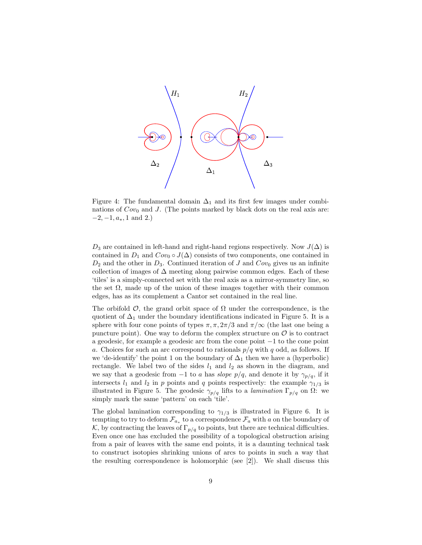

Figure 4: The fundamental domain  $\Delta_1$  and its first few images under combinations of  $Cov_0$  and J. (The points marked by black dots on the real axis are:  $-2, -1, a_*, 1 \text{ and } 2.$ 

 $D_3$  are contained in left-hand and right-hand regions respectively. Now  $J(\Delta)$  is contained in  $D_1$  and  $Cov_0 \circ J(\Delta)$  consists of two components, one contained in  $D_2$  and the other in  $D_3$ . Continued iteration of J and  $Cov_0$  gives us an infinite collection of images of  $\Delta$  meeting along pairwise common edges. Each of these 'tiles' is a simply-connected set with the real axis as a mirror-symmetry line, so the set  $\Omega$ , made up of the union of these images together with their common edges, has as its complement a Cantor set contained in the real line.

The orbifold  $\mathcal{O}$ , the grand orbit space of  $\Omega$  under the correspondence, is the quotient of  $\Delta_1$  under the boundary identifications indicated in Figure 5. It is a sphere with four cone points of types  $\pi, \pi, 2\pi/3$  and  $\pi/\infty$  (the last one being a puncture point). One way to deform the complex structure on  $\mathcal O$  is to contract a geodesic, for example a geodesic arc from the cone point −1 to the cone point a. Choices for such an arc correspond to rationals  $p/q$  with q odd, as follows. If we 'de-identify' the point 1 on the boundary of  $\Delta_1$  then we have a (hyperbolic) rectangle. We label two of the sides  $l_1$  and  $l_2$  as shown in the diagram, and we say that a geodesic from  $-1$  to a has slope  $p/q$ , and denote it by  $\gamma_{p/q}$ , if it intersects  $l_1$  and  $l_2$  in p points and q points respectively: the example  $\gamma_{1/3}$  is illustrated in Figure 5. The geodesic  $\gamma_{p/q}$  lifts to a *lamination*  $\Gamma_{p/q}$  on  $\Omega$ : we simply mark the same 'pattern' on each 'tile'.

The global lamination corresponding to  $\gamma_{1/3}$  is illustrated in Figure 6. It is tempting to try to deform  $\mathcal{F}_{a_*}$  to a correspondence  $\mathcal{F}_a$  with a on the boundary of K, by contracting the leaves of  $\Gamma_{p/q}$  to points, but there are technical difficulties. Even once one has excluded the possibility of a topological obstruction arising from a pair of leaves with the same end points, it is a daunting technical task to construct isotopies shrinking unions of arcs to points in such a way that the resulting correspondence is holomorphic (see [2]). We shall discuss this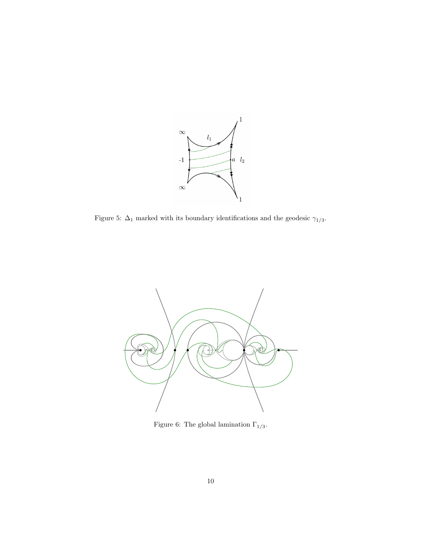

Figure 5:  $\Delta_1$  marked with its boundary identifications and the geodesic  $\gamma_{1/3}.$ 



Figure 6: The global lamination  $\Gamma_{1/3}.$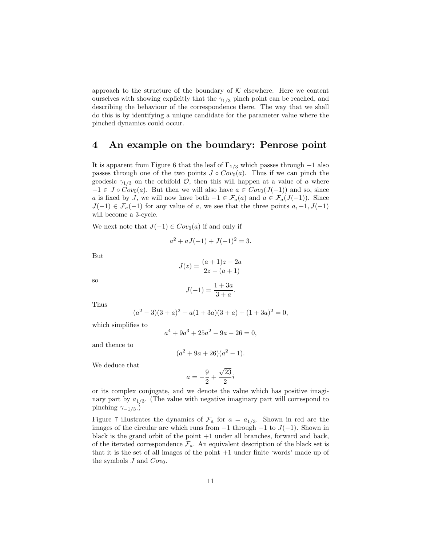approach to the structure of the boundary of  $K$  elsewhere. Here we content ourselves with showing explicitly that the  $\gamma_{1/3}$  pinch point can be reached, and describing the behaviour of the correspondence there. The way that we shall do this is by identifying a unique candidate for the parameter value where the pinched dynamics could occur.

### 4 An example on the boundary: Penrose point

It is apparent from Figure 6 that the leaf of  $\Gamma_{1/3}$  which passes through  $-1$  also passes through one of the two points  $J \circ Cov_0(a)$ . Thus if we can pinch the geodesic  $\gamma_{1/3}$  on the orbifold  $\mathcal{O}$ , then this will happen at a value of a where  $-1 \in J \circ Cov_0(a)$ . But then we will also have  $a \in Cov_0(J(-1))$  and so, since a is fixed by J, we will now have both  $-1 \in \mathcal{F}_a(a)$  and  $a \in \mathcal{F}_a(J(-1))$ . Since  $J(-1) \in \mathcal{F}_a(-1)$  for any value of a, we see that the three points  $a, -1, J(-1)$ will become a 3-cycle.

We next note that  $J(-1) \in Cov_0(a)$  if and only if

$$
a^2 + aJ(-1) + J(-1)^2 = 3.
$$

But

$$
J(z) = \frac{(a+1)z - 2a}{2z - (a+1)}
$$

so

$$
J(-1) = \frac{1+3a}{3+a}.
$$

Thus

$$
(a2 - 3)(3 + a)2 + a(1 + 3a)(3 + a) + (1 + 3a)2 = 0,
$$

which simplifies to

$$
a^4 + 9a^3 + 25a^2 - 9a - 26 = 0,
$$

and thence to

$$
(a^2 + 9a + 26)(a^2 - 1).
$$

We deduce that

$$
a = -\frac{9}{2} + \frac{\sqrt{23}}{2}i
$$

or its complex conjugate, and we denote the value which has positive imaginary part by  $a_{1/3}$ . (The value with negative imaginary part will correspond to pinching  $\gamma_{-1/3}$ .)

Figure 7 illustrates the dynamics of  $\mathcal{F}_a$  for  $a = a_{1/3}$ . Shown in red are the images of the circular arc which runs from  $-1$  through  $+1$  to  $J(-1)$ . Shown in black is the grand orbit of the point +1 under all branches, forward and back, of the iterated correspondence  $\mathcal{F}_a$ . An equivalent description of the black set is that it is the set of all images of the point +1 under finite 'words' made up of the symbols  $J$  and  $Cov_0$ .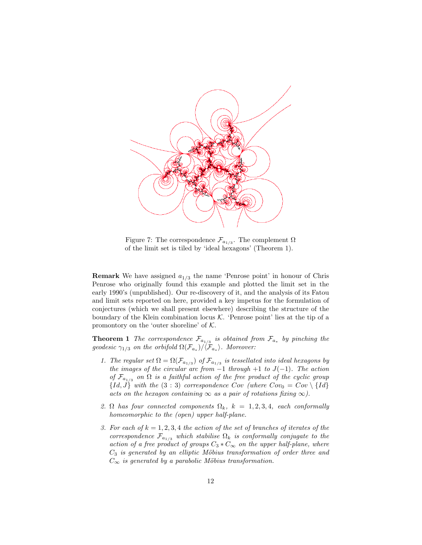

Figure 7: The correspondence  $\mathcal{F}_{a_{1/3}}$ . The complement  $\Omega$ of the limit set is tiled by 'ideal hexagons' (Theorem 1).

**Remark** We have assigned  $a_{1/3}$  the name 'Penrose point' in honour of Chris Penrose who originally found this example and plotted the limit set in the early 1990's (unpublished). Our re-discovery of it, and the analysis of its Fatou and limit sets reported on here, provided a key impetus for the formulation of conjectures (which we shall present elsewhere) describing the structure of the boundary of the Klein combination locus  $K$ . 'Penrose point' lies at the tip of a promontory on the 'outer shoreline' of  $K$ .

**Theorem 1** The correspondence  $\mathcal{F}_{a_{1/3}}$  is obtained from  $\mathcal{F}_{a_*}$  by pinching the geodesic  $\gamma_{1/3}$  on the orbifold  $\Omega(\mathcal{F}_{a_*})/\langle \mathcal{F}_{a_*}\rangle$ . Moreover:

- 1. The regular set  $\Omega = \Omega(\mathcal{F}_{a_{1/3}})$  of  $\mathcal{F}_{a_{1/3}}$  is tessellated into ideal hexagons by the images of the circular arc from  $-1$  through  $+1$  to  $J(-1)$ . The action of  $\mathcal{F}_{a_{1/3}}$  on  $\Omega$  is a faithful action of the free product of the cyclic group  ${Id, J}$  with the  $(3:3)$  correspondence Cov (where  $Cov_0 = Cov \setminus {Id}$ acts on the hexagon containing  $\infty$  as a pair of rotations fixing  $\infty$ ).
- 2.  $\Omega$  has four connected components  $\Omega_k$ ,  $k = 1, 2, 3, 4$ , each conformally homeomorphic to the (open) upper half-plane.
- 3. For each of  $k = 1, 2, 3, 4$  the action of the set of branches of iterates of the correspondence  $\mathcal{F}_{a_{1/3}}$  which stabilise  $\Omega_k$  is conformally conjugate to the action of a free product of groups  $C_3 * C_{\infty}$  on the upper half-plane, where  $C_3$  is generated by an elliptic Möbius transformation of order three and  $C_{\infty}$  is generated by a parabolic Möbius transformation.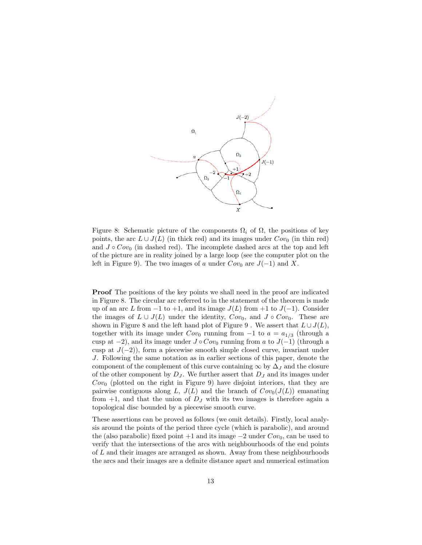

Figure 8: Schematic picture of the components  $\Omega_i$  of  $\Omega$ , the positions of key points, the arc  $L \cup J(L)$  (in thick red) and its images under  $Cov_0$  (in thin red) and  $J \circ Cov_0$  (in dashed red). The incomplete dashed arcs at the top and left of the picture are in reality joined by a large loop (see the computer plot on the left in Figure 9). The two images of a under  $Cov_0$  are  $J(-1)$  and X.

Proof The positions of the key points we shall need in the proof are indicated in Figure 8. The circular arc referred to in the statement of the theorem is made up of an arc L from  $-1$  to  $+1$ , and its image  $J(L)$  from  $+1$  to  $J(-1)$ . Consider the images of  $L \cup J(L)$  under the identity,  $Cov_0$ , and  $J \circ Cov_0$ . These are shown in Figure 8 and the left hand plot of Figure 9. We assert that  $L \cup J(L)$ , together with its image under  $Cov_0$  running from  $-1$  to  $a = a_{1/3}$  (through a cusp at  $-2$ ), and its image under  $J \circ Cov_0$  running from a to  $J(-1)$  (through a cusp at  $J(-2)$ , form a piecewise smooth simple closed curve, invariant under J. Following the same notation as in earlier sections of this paper, denote the component of the complement of this curve containing  $\infty$  by  $\Delta_J$  and the closure of the other component by  $D_J$ . We further assert that  $D_J$  and its images under  $Cov_0$  (plotted on the right in Figure 9) have disjoint interiors, that they are pairwise contiguous along L,  $J(L)$  and the branch of  $Cov_0(J(L))$  emanating from  $+1$ , and that the union of  $D<sub>J</sub>$  with its two images is therefore again a topological disc bounded by a piecewise smooth curve.

These assertions can be proved as follows (we omit details). Firstly, local analysis around the points of the period three cycle (which is parabolic), and around the (also parabolic) fixed point +1 and its image  $-2$  under  $Cov_0$ , can be used to verify that the intersections of the arcs with neighbourhoods of the end points of L and their images are arranged as shown. Away from these neighbourhoods the arcs and their images are a definite distance apart and numerical estimation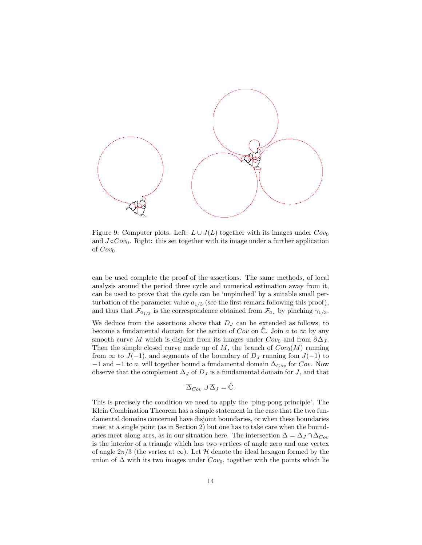

Figure 9: Computer plots. Left:  $L \cup J(L)$  together with its images under  $Cov_0$ and  $J \circ Cov_0$ . Right: this set together with its image under a further application of  $Cov_0$ .

can be used complete the proof of the assertions. The same methods, of local analysis around the period three cycle and numerical estimation away from it, can be used to prove that the cycle can be 'unpinched' by a suitable small perturbation of the parameter value  $a_{1/3}$  (see the first remark following this proof), and thus that  $\mathcal{F}_{a_{1/3}}$  is the correspondence obtained from  $\mathcal{F}_{a_*}$  by pinching  $\gamma_{1/3}$ .

We deduce from the assertions above that  $D_J$  can be extended as follows, to become a fundamental domain for the action of  $Cov$  on  $\mathbb{C}$ . Join a to  $\infty$  by any smooth curve M which is disjoint from its images under  $Cov_0$  and from  $\partial \Delta_J$ . Then the simple closed curve made up of M, the branch of  $Cov_0(M)$  running from  $\infty$  to  $J(-1)$ , and segments of the boundary of  $D_J$  running fom  $J(-1)$  to  $-1$  and  $-1$  to a, will together bound a fundamental domain  $\Delta_{Cov}$  for  $Cov$ . Now observe that the complement  $\Delta_J$  of  $D_J$  is a fundamental domain for J, and that

$$
\overline{\Delta}_{Cov} \cup \overline{\Delta}_J = \hat{\mathbb{C}}.
$$

This is precisely the condition we need to apply the 'ping-pong principle'. The Klein Combination Theorem has a simple statement in the case that the two fundamental domains concerned have disjoint boundaries, or when these boundaries meet at a single point (as in Section 2) but one has to take care when the boundaries meet along arcs, as in our situation here. The intersection  $\Delta = \Delta_J \cap \Delta_{Cov}$ is the interior of a triangle which has two vertices of angle zero and one vertex of angle  $2\pi/3$  (the vertex at  $\infty$ ). Let H denote the ideal hexagon formed by the union of  $\Delta$  with its two images under  $Cov_0$ , together with the points which lie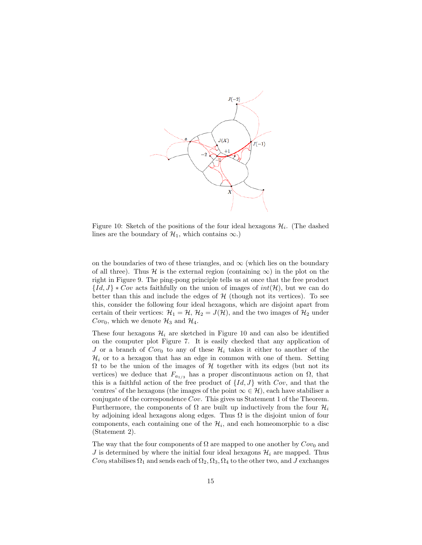

Figure 10: Sketch of the positions of the four ideal hexagons  $\mathcal{H}_i$ . (The dashed lines are the boundary of  $\mathcal{H}_1$ , which contains  $\infty$ .)

on the boundaries of two of these triangles, and  $\infty$  (which lies on the boundary of all three). Thus H is the external region (containing  $\infty$ ) in the plot on the right in Figure 9. The ping-pong principle tells us at once that the free product  ${Id, J} * Cov$  acts faithfully on the union of images of  $int(\mathcal{H})$ , but we can do better than this and include the edges of  $H$  (though not its vertices). To see this, consider the following four ideal hexagons, which are disjoint apart from certain of their vertices:  $\mathcal{H}_1 = \mathcal{H}, \mathcal{H}_2 = J(\mathcal{H})$ , and the two images of  $\mathcal{H}_2$  under  $Cov_0$ , which we denote  $\mathcal{H}_3$  and  $\mathcal{H}_4$ .

These four hexagons  $\mathcal{H}_i$  are sketched in Figure 10 and can also be identified on the computer plot Figure 7. It is easily checked that any application of J or a branch of  $Cov_0$  to any of these  $\mathcal{H}_i$  takes it either to another of the  $\mathcal{H}_i$  or to a hexagon that has an edge in common with one of them. Setting  $\Omega$  to be the union of the images of  $\mathcal H$  together with its edges (but not its vertices) we deduce that  $F_{a_{1/3}}$  has a proper discontinuous action on  $\Omega$ , that this is a faithful action of the free product of  $\{Id, J\}$  with  $Cov$ , and that the 'centres' of the hexagons (the images of the point  $\infty \in \mathcal{H}$ ), each have stabiliser a conjugate of the correspondence Cov. This gives us Statement 1 of the Theorem. Furthermore, the components of  $\Omega$  are built up inductively from the four  $\mathcal{H}_i$ by adjoining ideal hexagons along edges. Thus  $\Omega$  is the disjoint union of four components, each containing one of the  $\mathcal{H}_i$ , and each homeomorphic to a disc (Statement 2).

The way that the four components of  $\Omega$  are mapped to one another by  $Cov_0$  and J is determined by where the initial four ideal hexagons  $\mathcal{H}_i$  are mapped. Thus  $Cov_0$  stabilises  $\Omega_1$  and sends each of  $\Omega_2, \Omega_3, \Omega_4$  to the other two, and J exchanges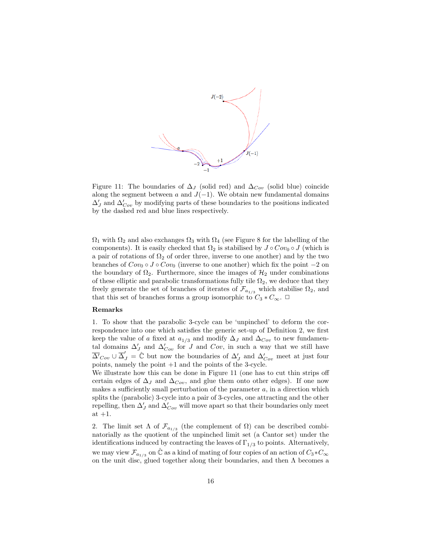

Figure 11: The boundaries of  $\Delta_J$  (solid red) and  $\Delta_{Con}$  (solid blue) coincide along the segment between a and  $J(-1)$ . We obtain new fundamental domains  $\Delta'_{J}$  and  $\Delta'_{Cov}$  by modifying parts of these boundaries to the positions indicated by the dashed red and blue lines respectively.

 $\Omega_1$  with  $\Omega_2$  and also exchanges  $\Omega_3$  with  $\Omega_4$  (see Figure 8 for the labelling of the components). It is easily checked that  $\Omega_2$  is stabilised by  $J \circ Cov_0 \circ J$  (which is a pair of rotations of  $\Omega_2$  of order three, inverse to one another) and by the two branches of  $Cov_0 \circ J \circ Cov_0$  (inverse to one another) which fix the point  $-2$  on the boundary of  $\Omega_2$ . Furthermore, since the images of  $\mathcal{H}_2$  under combinations of these elliptic and parabolic transformations fully tile  $\Omega_2$ , we deduce that they freely generate the set of branches of iterates of  $\mathcal{F}_{a_{1/3}}$  which stabilise  $\Omega_2$ , and that this set of branches forms a group isomorphic to  $C_3 * C_{\infty}$ .  $\Box$ 

#### Remarks

1. To show that the parabolic 3-cycle can be 'unpinched' to deform the correspondence into one which satisfies the generic set-up of Definition 2, we first keep the value of a fixed at  $a_{1/3}$  and modify  $\Delta_J$  and  $\Delta_{Cov}$  to new fundamental domains  $\Delta'_J$  and  $\Delta'_{Cov}$  for J and  $Cov$ , in such a way that we still have  $\overline{\Delta'}_{Cov} \cup \overline{\Delta}'_J = \hat{\mathbb{C}}$  but now the boundaries of  $\Delta'_J$  and  $\Delta'_{Cov}$  meet at just four points, namely the point +1 and the points of the 3-cycle.

We illustrate how this can be done in Figure 11 (one has to cut thin strips off certain edges of  $\Delta_J$  and  $\Delta_{Cov}$ , and glue them onto other edges). If one now makes a sufficiently small perturbation of the parameter  $a$ , in a direction which splits the (parabolic) 3-cycle into a pair of 3-cycles, one attracting and the other repelling, then  $\Delta_J'$  and  $\Delta_{Cov}'$  will move apart so that their boundaries only meet at  $+1$ .

2. The limit set  $\Lambda$  of  $\mathcal{F}_{a_{1/3}}$  (the complement of  $\Omega$ ) can be described combinatorially as the quotient of the unpinched limit set (a Cantor set) under the identifications induced by contracting the leaves of  $\Gamma_{1/3}$  to points. Alternatively, we may view  $\mathcal{F}_{a_{1/3}}$  on  $\hat{\mathbb{C}}$  as a kind of mating of four copies of an action of  $C_3 * C_{\infty}$ on the unit disc, glued together along their boundaries, and then  $\Lambda$  becomes a